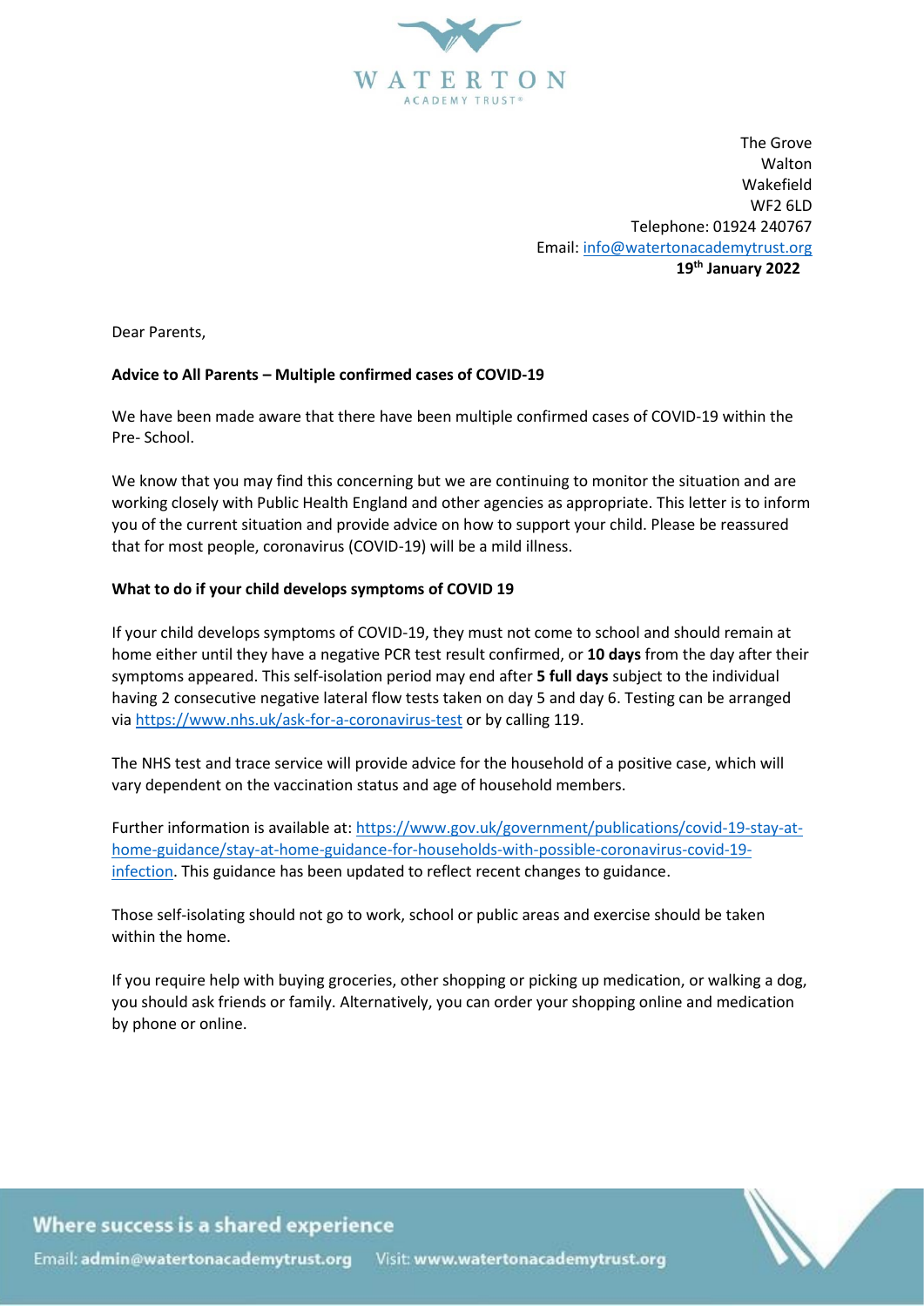

The Grove Walton Wakefield WF2 6LD Telephone: 01924 240767 Email[: info@watertonacademytrust.org](mailto:info@watertonacademytrust.org)  **19 th January 2022**

Dear Parents,

# **Advice to All Parents – Multiple confirmed cases of COVID-19**

We have been made aware that there have been multiple confirmed cases of COVID-19 within the Pre- School.

We know that you may find this concerning but we are continuing to monitor the situation and are working closely with Public Health England and other agencies as appropriate. This letter is to inform you of the current situation and provide advice on how to support your child. Please be reassured that for most people, coronavirus (COVID-19) will be a mild illness.

# **What to do if your child develops symptoms of COVID 19**

If your child develops symptoms of COVID-19, they must not come to school and should remain at home either until they have a negative PCR test result confirmed, or **10 days** from the day after their symptoms appeared. This self-isolation period may end after **5 full days** subject to the individual having 2 consecutive negative lateral flow tests taken on day 5 and day 6. Testing can be arranged via<https://www.nhs.uk/ask-for-a-coronavirus-test> or by calling 119.

The NHS test and trace service will provide advice for the household of a positive case, which will vary dependent on the vaccination status and age of household members.

Further information is available at: [https://www.gov.uk/government/publications/covid-19-stay-at](https://www.gov.uk/government/publications/covid-19-stay-at-home-guidance/stay-at-home-guidance-for-households-with-possible-coronavirus-covid-19-infection)[home-guidance/stay-at-home-guidance-for-households-with-possible-coronavirus-covid-19](https://www.gov.uk/government/publications/covid-19-stay-at-home-guidance/stay-at-home-guidance-for-households-with-possible-coronavirus-covid-19-infection) [infection.](https://www.gov.uk/government/publications/covid-19-stay-at-home-guidance/stay-at-home-guidance-for-households-with-possible-coronavirus-covid-19-infection) This guidance has been updated to reflect recent changes to guidance.

Those self-isolating should not go to work, school or public areas and exercise should be taken within the home.

If you require help with buying groceries, other shopping or picking up medication, or walking a dog, you should ask friends or family. Alternatively, you can order your shopping online and medication by phone or online.



Where success is a shared experience